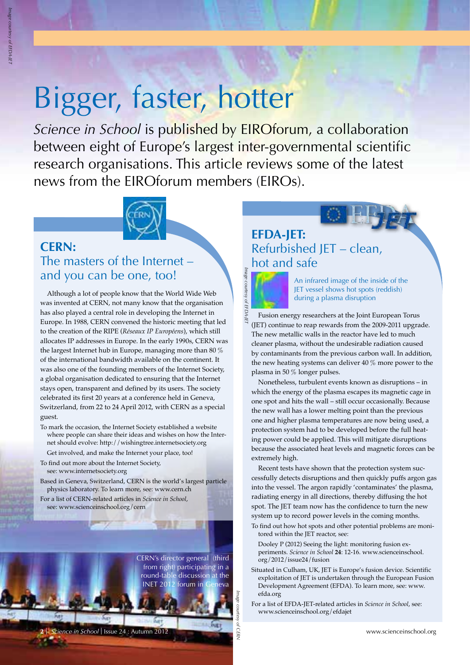# Bigger, faster, hotter

*Science in School* is published by EIROforum, a collaboration between eight of Europe's largest inter-governmental scientific research organisations. This article reviews some of the latest news from the EIROforum members (EIROs).



### **CERN:** The masters of the Internet – and you can be one, too!

Although a lot of people know that the World Wide Web was invented at CERN, not many know that the organisation has also played a central role in developing the Internet in Europe. In 1988, CERN convened the historic meeting that led to the creation of the RIPE (*Réseaux IP Européens*), which still allocates IP addresses in Europe. In the early 1990s, CERN was the largest Internet hub in Europe, managing more than 80 % of the international bandwidth available on the continent. It was also one of the founding members of the Internet Society, a global organisation dedicated to ensuring that the Internet stays open, transparent and defined by its users. The society celebrated its first 20 years at a conference held in Geneva, Switzerland, from 22 to 24 April 2012, with CERN as a special guest.

- To mark the occasion, the Internet Society established a website where people can share their ideas and wishes on how the Internet should evolve: http://wishingtree.internetsociety.org
- Get involved, and make the Internet your place, too!
- To find out more about the Internet Society, see: www.internetsociety.org
- Based in Geneva, Switzerland, CERN is the world's largest particle physics laboratory. To learn more, see: www.cern.ch
- For a list of CERN-related articles in *Science in School*, see: www.scienceinschool.org/cern

CERN's director general (third from right) participating in a round-table discussion at the INET 2012 forum in Geneva

*Image courtesy of CERN*

**<sup>2</sup>**I www.scienceinschool.org *Science in School* I Issue 24 : Autumn 2012

# **EFDA-JET:** Refurbished JET – clean, hot and safe



An infrared image of the inside of the JET vessel shows hot spots (reddish) during a plasma disruption

Fusion energy researchers at the Joint European Torus (JET) continue to reap rewards from the 2009-2011 upgrade. The new metallic walls in the reactor have led to much cleaner plasma, without the undesirable radiation caused by contaminants from the previous carbon wall. In addition, the new heating systems can deliver 40 % more power to the plasma in 50 % longer pulses.

Nonetheless, turbulent events known as disruptions – in which the energy of the plasma escapes its magnetic cage in one spot and hits the wall – still occur occasionally. Because the new wall has a lower melting point than the previous one and higher plasma temperatures are now being used, a protection system had to be developed before the full heating power could be applied. This will mitigate disruptions because the associated heat levels and magnetic forces can be extremely high.

Recent tests have shown that the protection system successfully detects disruptions and then quickly puffs argon gas into the vessel. The argon rapidly 'contaminates' the plasma, radiating energy in all directions, thereby diffusing the hot spot. The JET team now has the confidence to turn the new system up to record power levels in the coming months.

To find out how hot spots and other potential problems are monitored within the JET reactor, see:

Dooley P (2012) Seeing the light: monitoring fusion experiments. *Science in School* **24**: 12-16. www.scienceinschool. org/2012/issue24/fusion

- Situated in Culham, UK, JET is Europe's fusion device. Scientific exploitation of JET is undertaken through the European Fusion Development Agreement (EFDA). To learn more, see: www. efda.org
- For a list of EFDA-JET-related articles in *Science in School*, see: www.scienceinschool.org/efdajet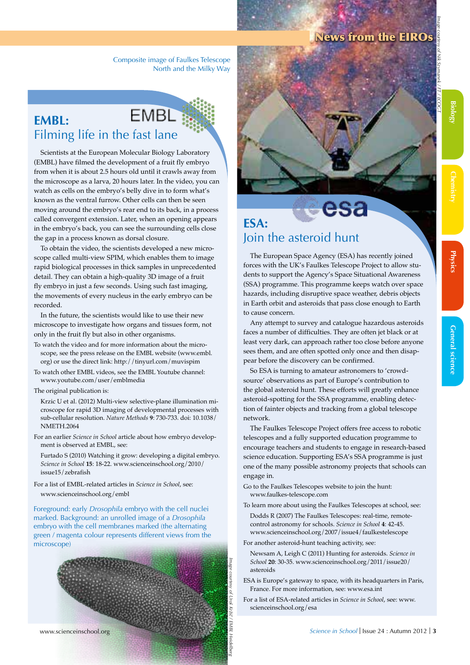#### News from the EIROs

Composite image of Faulkes Telescope North and the Milky Way

#### **EMBL EMBL:** Filming life in the fast lane

Scientists at the European Molecular Biology Laboratory (EMBL) have filmed the development of a fruit fly embryo from when it is about 2.5 hours old until it crawls away from the microscope as a larva, 20 hours later. In the video, you can watch as cells on the embryo's belly dive in to form what's known as the ventral furrow. Other cells can then be seen moving around the embryo's rear end to its back, in a process called convergent extension. Later, when an opening appears in the embryo's back, you can see the surrounding cells close the gap in a process known as dorsal closure.

To obtain the video, the scientists developed a new microscope called multi-view SPIM, which enables them to image rapid biological processes in thick samples in unprecedented detail. They can obtain a high-quality 3D image of a fruit fly embryo in just a few seconds. Using such fast imaging, the movements of every nucleus in the early embryo can be recorded.

In the future, the scientists would like to use their new microscope to investigate how organs and tissues form, not only in the fruit fly but also in other organisms.

- To watch the video and for more information about the microscope, see the press release on the EMBL website (www.embl. org) or use the direct link: http://tinyurl.com/muvispim
- To watch other EMBL videos, see the EMBL Youtube channel: www.youtube.com/user/emblmedia
- The original publication is:

Krzic U et al. (2012) Multi-view selective-plane illumination microscope for rapid 3D imaging of developmental processes with sub-cellular resolution. *Nature Methods* **9**: 730-733. doi: 10.1038/ NMETH.2064

For an earlier *Science in School* article about how embryo development is observed at EMBL, see:

Furtado S (2010) Watching it grow: developing a digital embryo. *Science in School* **15**: 18-22. www.scienceinschool.org/2010/ issue15/zebrafish

For a list of EMBL-related articles in *Science in School*, see: www.scienceinschool.org/embl

Foreground: early *Drosophila* embryo with the cell nuclei marked. Background: an unrolled image of a *Drosophila* embryo with the cell membranes marked (the alternating green / magenta colour represents different views from the microscope)





# **ESA:**  Join the asteroid hunt

The European Space Agency (ESA) has recently joined forces with the UK's Faulkes Telescope Project to allow students to support the Agency's Space Situational Awareness (SSA) programme. This programme keeps watch over space hazards, including disruptive space weather, debris objects in Earth orbit and asteroids that pass close enough to Earth to cause concern.

Any attempt to survey and catalogue hazardous asteroids faces a number of difficulties. They are often jet black or at least very dark, can approach rather too close before anyone sees them, and are often spotted only once and then disappear before the discovery can be confirmed.

So ESA is turning to amateur astronomers to 'crowdsource' observations as part of Europe's contribution to the global asteroid hunt. These efforts will greatly enhance asteroid-spotting for the SSA programme, enabling detection of fainter objects and tracking from a global telescope network.

The Faulkes Telescope Project offers free access to robotic telescopes and a fully supported education programme to encourage teachers and students to engage in research-based science education. Supporting ESA's SSA programme is just one of the many possible astronomy projects that schools can engage in.

- Go to the Faulkes Telescopes website to join the hunt: www.faulkes-telescope.com
- To learn more about using the Faulkes Telescopes at school, see:
	- Dodds R (2007) The Faulkes Telescopes: real-time, remotecontrol astronomy for schools. *Science in School* **4**: 42-45. www.scienceinschool.org/2007/issue4/faulkestelescope
- For another asteroid-hunt teaching activity, see:

Newsam A, Leigh C (2011) Hunting for asteroids. *Science in School* **20**: 30-35. www.scienceinschool.org/2011/issue20/ asteroids

ESA is Europe's gateway to space, with its headquarters in Paris, France. For more information, see: www.esa.int

For a list of ESA-related articles in *Science in School*, see: www. scienceinschool.org/esa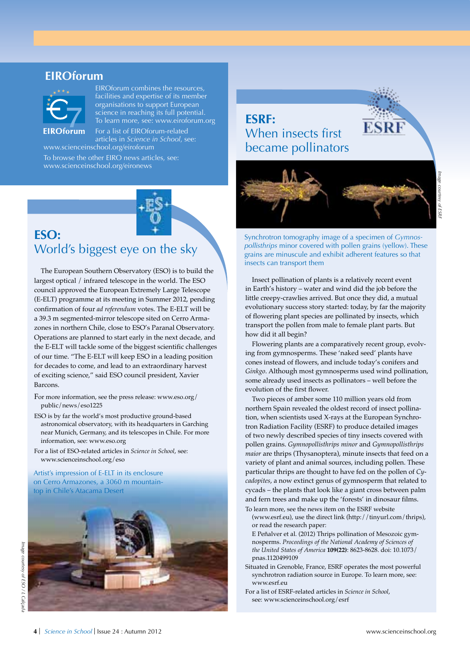#### **EIROforum**



EIROforum combines the resources, facilities and expertise of its member organisations to support European science in reaching its full potential. To learn more, see: www.eiroforum.org

For a list of EIROforum-related articles in *Science in School*, see: www.scienceinschool.org/eiroforum

To browse the other EIRO news articles, see: www.scienceinschool.org/eironews



# **ESO:**  World's biggest eye on the sky

The European Southern Observatory (ESO) is to build the largest optical / infrared telescope in the world. The ESO council approved the European Extremely Large Telescope (E-ELT) programme at its meeting in Summer 2012, pending confirmation of four *ad referendum* votes. The E-ELT will be a 39.3 m segmented-mirror telescope sited on Cerro Armazones in northern Chile, close to ESO's Paranal Observatory. Operations are planned to start early in the next decade, and the E-ELT will tackle some of the biggest scientific challenges of our time. "The E-ELT will keep ESO in a leading position for decades to come, and lead to an extraordinary harvest of exciting science," said ESO council president, Xavier Barcons.

- For more information, see the press release: www.eso.org/ public/news/eso1225
- ESO is by far the world's most productive ground-based astronomical observatory, with its headquarters in Garching near Munich, Germany, and its telescopes in Chile. For more information, see: www.eso.org
- For a list of ESO-related articles in *Science in School*, see: www.scienceinschool.org/eso

Artist's impression of E-ELT in its enclosure on Cerro Armazones, a 3060 m mountaintop in Chile's Atacama Desert



**ESRF:** When insects first became pollinators



Synchrotron tomography image of a specimen of *Gymnospollisthrips* minor covered with pollen grains (yellow). These grains are minuscule and exhibit adherent features so that insects can transport them

Insect pollination of plants is a relatively recent event in Earth's history – water and wind did the job before the little creepy-crawlies arrived. But once they did, a mutual evolutionary success story started: today, by far the majority of flowering plant species are pollinated by insects, which transport the pollen from male to female plant parts. But how did it all begin?

Flowering plants are a comparatively recent group, evolving from gymnosperms. These 'naked seed' plants have cones instead of flowers, and include today's conifers and *Ginkgo*. Although most gymnosperms used wind pollination, some already used insects as pollinators – well before the evolution of the first flower.

Two pieces of amber some 110 million years old from northern Spain revealed the oldest record of insect pollination, when scientists used X-rays at the European Synchrotron Radiation Facility (ESRF) to produce detailed images of two newly described species of tiny insects covered with pollen grains. *Gymnopollisthrips minor* and *Gymnopollisthrips maior* are thrips (Thysanoptera), minute insects that feed on a variety of plant and animal sources, including pollen. These particular thrips are thought to have fed on the pollen of *Cycadopites*, a now extinct genus of gymnosperm that related to cycads – the plants that look like a giant cross between palm and fern trees and make up the 'forests' in dinosaur films. To learn more, see the news item on the ESRF website

(www.esrf.eu), use the direct link (http://tinyurl.com/thrips), or read the research paper:

E Peñalver et al. (2012) Thrips pollination of Mesozoic gymnosperms. *Proceedings of the National Academy of Sciences of the United States of America* **109(22)**: 8623-8628. doi: 10.1073/ pnas.1120499109

Situated in Grenoble, France, ESRF operates the most powerful synchrotron radiation source in Europe. To learn more, see: www.esrf.eu

For a list of ESRF-related articles in *Science in School*, see: www.scienceinschool.org/esrf